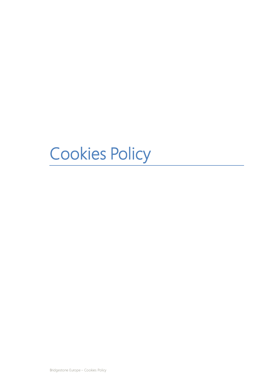# Cookies Policy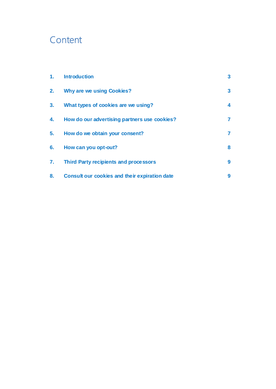# **Content**

| $\mathbf{1}$ . | <b>Introduction</b>                           | 3 |
|----------------|-----------------------------------------------|---|
| 2.             | <b>Why are we using Cookies?</b>              | 3 |
| 3.             | What types of cookies are we using?           | 4 |
| 4.             | How do our advertising partners use cookies?  | 7 |
| 5.             | How do we obtain your consent?                | 7 |
| 6.             | How can you opt-out?                          | 8 |
| 7.             | <b>Third Party recipients and processors</b>  | 9 |
| 8.             | Consult our cookies and their expiration date | 9 |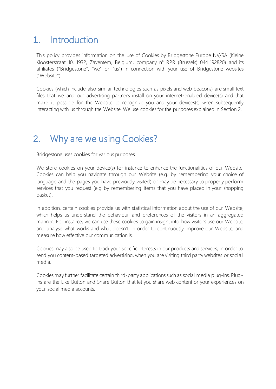### <span id="page-2-0"></span>1. Introduction

This policy provides information on the use of Cookies by Bridgestone Europe NV/SA (Kleine Kloosterstraat 10, 1932, Zaventem, Belgium, company n° RPR (Brussels) 0441192820) and its affiliates ("Bridgestone", "we" or "us") in connection with your use of Bridgestone websites ("Website").

Cookies (which include also similar technologies such as pixels and web beacons) are small text files that we and our advertising partners install on your internet-enabled device(s) and that make it possible for the Website to recognize you and your devices(s) when subsequently interacting with us through the Website. We use cookies for the purposes explained in Section 2.

### <span id="page-2-1"></span>2. Why are we using Cookies?

Bridgestone uses cookies for various purposes.

We store cookies on your device(s) for instance to enhance the functionalities of our Website. Cookies can help you navigate through our Website (e.g. by remembering your choice of language and the pages you have previously visited) or may be necessary to properly perform services that you request (e.g by remembering items that you have placed in your shopping basket).

In addition, certain cookies provide us with statistical information about the use of our Website, which helps us understand the behaviour and preferences of the visitors in an aggregated manner. For instance, we can use these cookies to gain insight into how visitors use our Website, and analyse what works and what doesn't, in order to continuously improve our Website, and measure how effective our communication is.

Cookies may also be used to track your specific interests in our products and services, in order to send you content-based targeted advertising, when you are visiting third party websites or social media.

Cookies may further facilitate certain third-party applications such as social media plug-ins. Plugins are the Like Button and Share Button that let you share web content or your experiences on your social media accounts.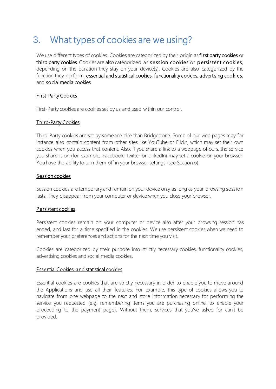# <span id="page-3-0"></span>3. What types of cookies are we using?

We use different types of cookies. Cookies are categorized by their origin as first party cookies or third party cookies. Cookies are also categorized as session cookies or persistent cookies, depending on the duration they stay on your device(s). Cookies are also categorized by the function they perform: essential and statistical cookies, functionality cookies, advertising cookies, and social media cookies.

#### First-Party Cookies

First-Party cookies are cookies set by us and used within our control.

#### Third-Party Cookies

Third Party cookies are set by someone else than Bridgestone. Some of our web pages may for instance also contain content from other sites like YouTube or Flickr, which may set their own cookies when you access that content. Also, if you share a link to a webpage of ours, the service you share it on (for example, Facebook, Twitter or LinkedIn) may set a cookie on your browser. You have the ability to turn them off in your browser settings (see Section 6).

#### Session cookies

Session cookies are temporary and remain on your device only as long as your browsing session lasts. They disappear from your computer or device when you close your browser.

#### Persistent cookies

Persistent cookies remain on your computer or device also after your browsing session has ended, and last for a time specified in the cookies. We use persistent cookies when we need to remember your preferences and actions for the next time you visit.

Cookies are categorized by their purpose into strictly necessary cookies, functionality cookies, advertising cookies and social media cookies.

#### Essential Cookies and statistical cookies

Essential cookies are cookies that are strictly necessary in order to enable you to move around the Applications and use all their features. For example, this type of cookies allows you to navigate from one webpage to the next and store information necessary for performing the service you requested (e.g. remembering items you are purchasing online, to enable your proceeding to the payment page). Without them, services that you've asked for can't be provided.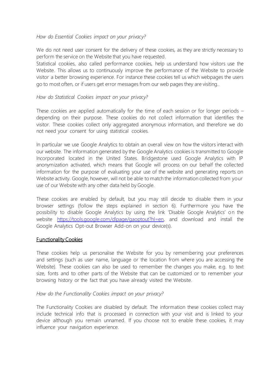#### *How do Essential Cookies impact on your privacy?*

We do not need user consent for the delivery of these cookies, as they are strictly necessary to perform the service on the Website that you have requested.

Statistical cookies, also called performance cookies, help us understand how visitors use the Website. This allows us to continuously improve the performance of the Website to provide visitor a better browsing experience. For instance these cookies tell us which webpages the users go to most often, or if users get error messages from our web pages they are visiting..

#### *How do Statistical Cookies impact on your privacy?*

These cookies are applied automatically for the time of each session or for longer periods – depending on their purpose. These cookies do not collect information that identifies the visitor. These cookies collect only aggregated anonymous information, and therefore we do not need your consent for using statistical cookies.

In particular we use Google Analytics to obtain an overall view on how the visitors interact with our website. The information generated by the Google Analytics cookiesis transmitted to Google Incorporated located in the United States. Bridgestone used Google Analytics with IP anonymization activated, which means that Google will process on our behalf the collected information for the purpose of evaluating your use of the website and generating reports on Website activity. Google, however, will not be able to match the information collected from your use of our Website with any other data held by Google.

These cookies are enabled by default, but you may still decide to disable them in your browser settings (follow the steps explained in section 6). Furthermore you have the possibility to disable Google Analytics by using the link 'Disable Google Analytics' on the website [https://tools.google.com/dlpage/gaoptout?hl=en,](https://tools.google.com/dlpage/gaoptout?hl=en) and download and install the Google Analytics Opt-out Browser Add-on on your device(s).

#### Functionality Cookies

These cookies help us personalise the Website for you by remembering your preferences and settings (such as user name, language or the location from where you are accessing the Website). These cookies can also be used to remember the changes you make, e.g. to text size, fonts and to other parts of the Website that can be customized or to remember your browsing history or the fact that you have already visited the Website.

#### *How do the Functionality Cookies impact on your privacy?*

The Functionality Cookies are disabled by default. The information these cookies collect may include technical info that is processed in connection with your visit and is linked to your device although you remain unnamed. If you choose not to enable these cookies, it may influence your navigation experience.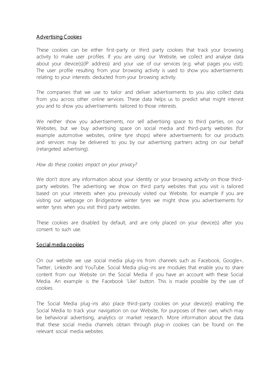#### Advertising Cookies

These cookies can be either first-party or third party cookies that track your browsing activity to make user profiles. If you are using our Website, we collect and analyse data about your device(s)(IP address) and your use of our services (e.g. what pages you visit). The user profile resulting from your browsing activity is used to show you advertisements relating to your interests deducted from your browsing activity.

The companies that we use to tailor and deliver advertisements to you also collect data from you across other online services. These data helps us to predict what might interest you and to show you advertisements tailored to those interests.

We neither show you advertisements, nor sell advertising space to third parties, on our Websites, but we buy advertising space on social media and third-party websites (for example automotive websites, online tyre shops) where advertisements for our products and services may be delivered to you by our advertising partners acting on our behalf (retargeted advertising).

*How do these cookies impact on your privacy?*

We don't store any information about your identity or your browsing activity on those thirdparty websites. The advertising we show on third party websites that you visit is tailored based on your interests when you previously visited our Website, for example if you are visiting our webpage on Bridgestone winter tyres we might show you advertisements for winter tyres when you visit third party websites.

These cookies are disabled by default, and are only placed on your device(s) after you consent to such use.

#### Social media cookies

On our website we use social media plug-ins from channels such as Facebook, Google+, Twitter, LinkedIn and YouTube. Social Media plug-ins are modules that enable you to share content from our Website on the Social Media if you have an account with these Social Media. An example is the Facebook 'Like' button. This is made possible by the use of cookies.

The Social Media plug-ins also place third-party cookies on your device(s) enabling the Social Media to track your navigation on our Website, for purposes of their own, which may be behavioral advertising, analytics or market research. More information about the data that these social media channels obtain through plug-in cookies can be found on the relevant social media websites.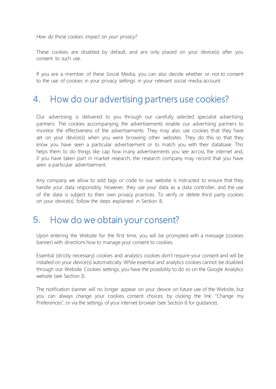*How do these cookies impact on your privacy?*

These cookies are disabled by default, and are only placed on your device(s) after you consent to such use.

If you are a member of these Social Media, you can also decide whether or not to consent to the use of cookies in your privacy settings in your relevant social media account.

### <span id="page-6-0"></span>4. How do our advertising partners use cookies?

Our advertising is delivered to you through our carefully selected specialist advertising partners. The cookies accompanying the advertisements enable our advertising partners to monitor the effectiveness of the advertisements. They may also use cookies that they have set on your device(s) when you were browsing other websites. They do this so that they know you have seen a particular advertisement or to match you with their database. This helps them to do things like cap how many advertisements you see across the internet and, if you have taken part in market research, the research company may record that you have seen a particular advertisement.

Any company we allow to add tags or code to our website is instructed to ensure that they handle your data responsibly. However, they use your data as a data controller, and the use of the data is subject to their own privacy practices. To verify or delete third party cookies on your device(s) follow the steps explained in Section 8.

### <span id="page-6-1"></span>5. How do we obtain your consent?

Upon entering the Website for the first time, you will be prompted with a message (cookies banner) with directions how to manage your consent to cookies.

Essential (strictly necessary) cookies and analytics cookies don't require your consent and will be installed on your device(s) automatically. While essential and analytics cookies cannot be disabled through our Website Cookies settings, you have the possibility to do so on the Google Analytics website (see Section 3).

The notification banner will no longer appear on your device on future use of the Website, but you can always change your cookies consent choices, by clicking the link "Change my Preferences", or via the settings of your internet browser (see Section 6 for guidance).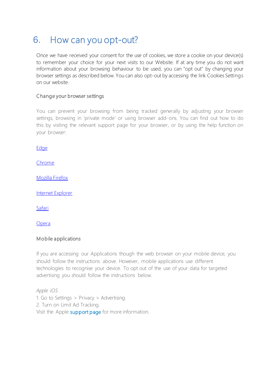### <span id="page-7-0"></span>6. How can you opt-out?

Once we have received your consent for the use of cookies, we store a cookie on your device(s) to remember your choice for your next visits to our Website. If at any time you do not want information about your browsing behaviour to be used, you can "opt out" by changing your browser settings as described below. You can also opt-out by accessing the link Cookies Settings on our website.

#### Change your browser settings

You can prevent your browsing from being tracked generally by adjusting your browser settings, browsing in 'private mode' or using browser add-ons. You can find out how to do this by visiting the relevant support page for your browser, or by using the help function on your browser:

**[Edge](https://privacy.microsoft.com/en-us/windows-10-microsoft-edge-and-privacy)** 

[Chrome](http://www.google.com/support/chrome/bin/answer.py?hl=en&answer=95647)

[Mozilla Firefox](http://support.mozilla.com/en-US/kb/Cookies)

[Internet Explorer](https://support.microsoft.com/en-us/help/17442/windows-internet-explorer-delete-manage-cookies)

[Safari](http://support.apple.com/kb/PH5042)

[Opera](http://www.opera.com/browser/tutorials/security/privacy/) 

#### Mobile applications

If you are accessing our Applications though the web browser on your mobile device, you should follow the instructions above. However, mobile applications use different technologies to recognise your device. To opt out of the use of your data for targeted advertising you should follow the instructions below.

*Apple iOS* 1. Go to Settings > Privacy > Advertising. 2. Turn on Limit Ad Tracking. Visit the Appl[e support page](https://support.apple.com/en-gb/HT202074) for more information.